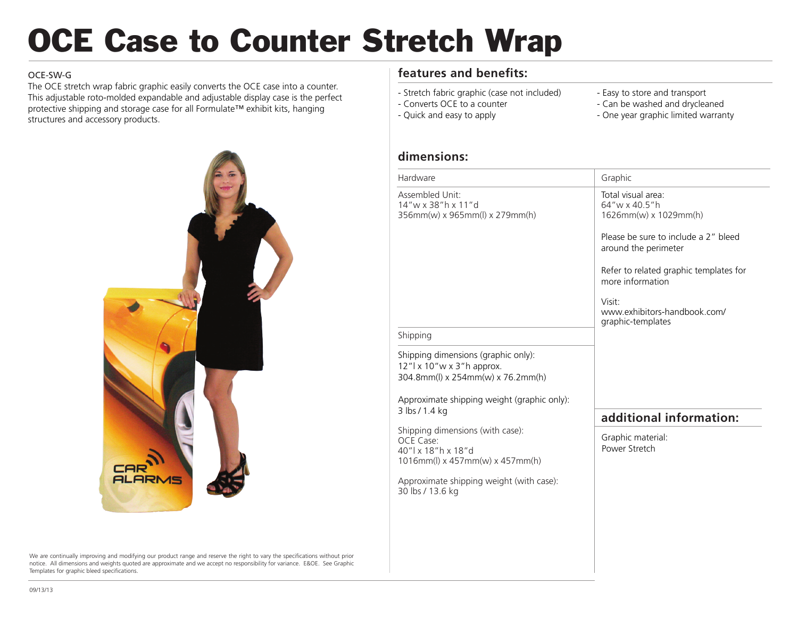# OCE Case to Counter Stretch Wrap

#### OCE-SW-G

The OCE stretch wrap fabric graphic easily converts the OCE case into a counter. This adjustable roto-molded expandable and adjustable display case is the perfect protective shipping and storage case for all Formulate™ exhibit kits, hanging structures and accessory products.



We are continually improving and modifying our product range and reserve the right to vary the specifications without prior notice. All dimensions and weights quoted are approximate and we accept no responsibility for variance. E&OE. See Graphic Templates for graphic bleed specifications.

### **features and benefits:**

- Stretch fabric graphic (case not included) - Converts OCE to a counter
- Easy to store and transport
- Can be washed and drycleaned

- Quick and easy to apply

- One year graphic limited warranty

#### **dimensions:**

| Hardware                                                                                                                                                                 | Graphic                                                                                                                                                                                                                                                   |
|--------------------------------------------------------------------------------------------------------------------------------------------------------------------------|-----------------------------------------------------------------------------------------------------------------------------------------------------------------------------------------------------------------------------------------------------------|
| Assembled Unit:<br>14"w x 38"h x 11"d<br>356mm(w) x 965mm(l) x 279mm(h)                                                                                                  | Total visual area:<br>64"w x 40.5"h<br>1626mm(w) x 1029mm(h)<br>Please be sure to include a 2" bleed<br>around the perimeter<br>Refer to related graphic templates for<br>more information<br>Visit:<br>www.exhibitors-handbook.com/<br>graphic-templates |
| Shipping                                                                                                                                                                 |                                                                                                                                                                                                                                                           |
| Shipping dimensions (graphic only):<br>12"  x 10" w x 3" h approx.<br>304.8mm(l) x 254mm(w) x 76.2mm(h)<br>Approximate shipping weight (graphic only):<br>3 lbs / 1.4 kg |                                                                                                                                                                                                                                                           |
|                                                                                                                                                                          | additional information:                                                                                                                                                                                                                                   |
| Shipping dimensions (with case):<br>OCE Case:<br>40"   x 18" h x 18" d<br>1016mm(l) x 457mm(w) x 457mm(h)                                                                | Graphic material:<br>Power Stretch                                                                                                                                                                                                                        |
| Approximate shipping weight (with case):<br>30 lbs / 13.6 kg                                                                                                             |                                                                                                                                                                                                                                                           |